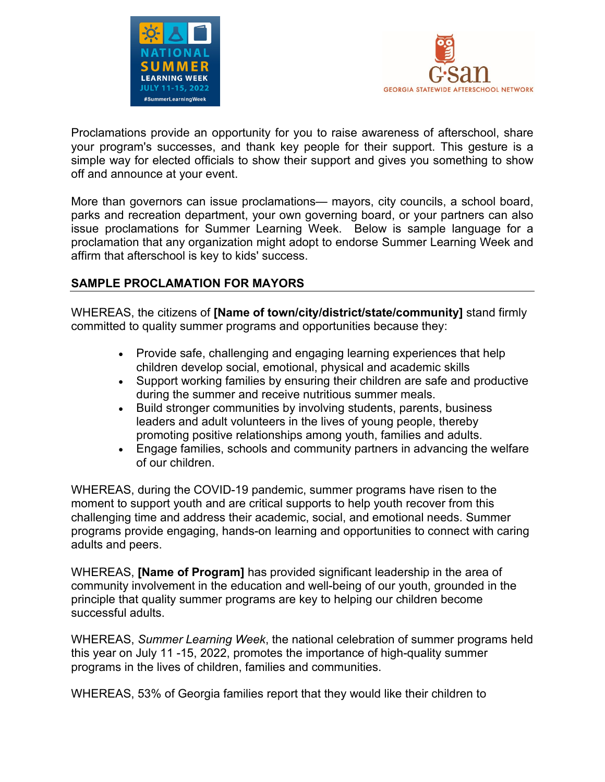



Proclamations provide an opportunity for you to raise awareness of afterschool, share your program's successes, and thank key people for their support. This gesture is a simple way for elected officials to show their support and gives you something to show off and announce at your event.

More than governors can issue proclamations— mayors, city councils, a school board, parks and recreation department, your own governing board, or your partners can also issue proclamations for Summer Learning Week. Below is sample language for a proclamation that any organization might adopt to endorse Summer Learning Week and affirm that afterschool is key to kids' success.

## **SAMPLE PROCLAMATION FOR MAYORS**

WHEREAS, the citizens of **[Name of town/city/district/state/community]** stand firmly committed to quality summer programs and opportunities because they:

- Provide safe, challenging and engaging learning experiences that help children develop social, emotional, physical and academic skills
- Support working families by ensuring their children are safe and productive during the summer and receive nutritious summer meals.
- Build stronger communities by involving students, parents, business leaders and adult volunteers in the lives of young people, thereby promoting positive relationships among youth, families and adults.
- Engage families, schools and community partners in advancing the welfare of our children.

WHEREAS, during the COVID-19 pandemic, summer programs have risen to the moment to support youth and are critical supports to help youth recover from this challenging time and address their academic, social, and emotional needs. Summer programs provide engaging, hands-on learning and opportunities to connect with caring adults and peers.

WHEREAS, **[Name of Program]** has provided significant leadership in the area of community involvement in the education and well-being of our youth, grounded in the principle that quality summer programs are key to helping our children become successful adults.

WHEREAS, *Summer Learning Week*, the national celebration of summer programs held this year on July 11 -15, 2022, promotes the importance of high-quality summer programs in the lives of children, families and communities.

WHEREAS, 53% of Georgia families report that they would like their children to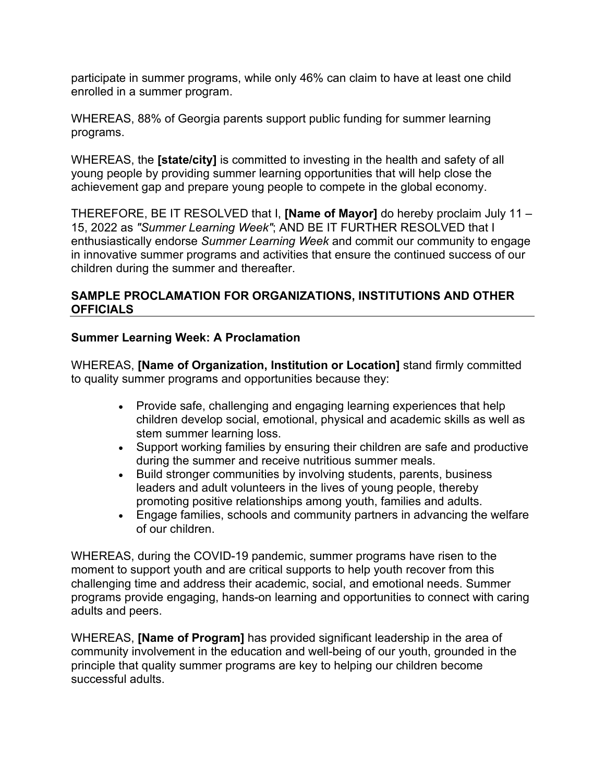participate in summer programs, while only 46% can claim to have at least one child enrolled in a summer program.

WHEREAS, 88% of Georgia parents support public funding for summer learning programs.

WHEREAS, the **[state/city]** is committed to investing in the health and safety of all young people by providing summer learning opportunities that will help close the achievement gap and prepare young people to compete in the global economy.

THEREFORE, BE IT RESOLVED that I, **[Name of Mayor]** do hereby proclaim July 11 – 15, 2022 as *"Summer Learning Week"*; AND BE IT FURTHER RESOLVED that I enthusiastically endorse *Summer Learning Week* and commit our community to engage in innovative summer programs and activities that ensure the continued success of our children during the summer and thereafter.

## **SAMPLE PROCLAMATION FOR ORGANIZATIONS, INSTITUTIONS AND OTHER OFFICIALS**

## **Summer Learning Week: A Proclamation**

WHEREAS, **[Name of Organization, Institution or Location]** stand firmly committed to quality summer programs and opportunities because they:

- Provide safe, challenging and engaging learning experiences that help children develop social, emotional, physical and academic skills as well as stem summer learning loss.
- Support working families by ensuring their children are safe and productive during the summer and receive nutritious summer meals.
- Build stronger communities by involving students, parents, business leaders and adult volunteers in the lives of young people, thereby promoting positive relationships among youth, families and adults.
- Engage families, schools and community partners in advancing the welfare of our children.

WHEREAS, during the COVID-19 pandemic, summer programs have risen to the moment to support youth and are critical supports to help youth recover from this challenging time and address their academic, social, and emotional needs. Summer programs provide engaging, hands-on learning and opportunities to connect with caring adults and peers.

WHEREAS, **[Name of Program]** has provided significant leadership in the area of community involvement in the education and well-being of our youth, grounded in the principle that quality summer programs are key to helping our children become successful adults.